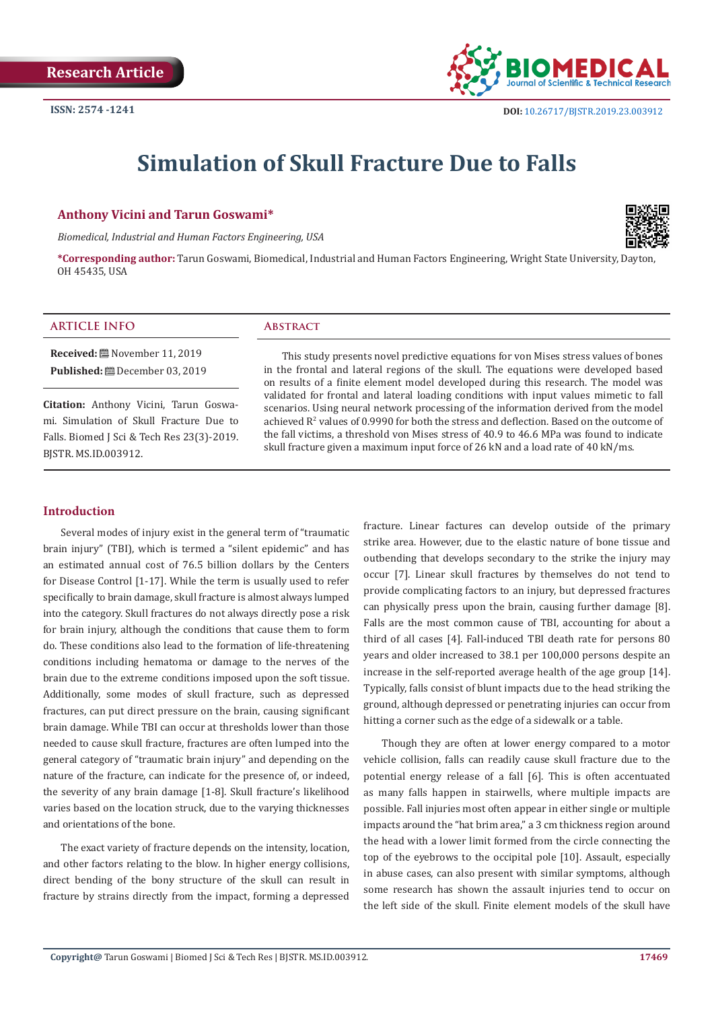

# **Simulation of Skull Fracture Due to Falls**

#### **Anthony Vicini and Tarun Goswami\***

*Biomedical, Industrial and Human Factors Engineering, USA*



**\*Corresponding author:** Tarun Goswami, Biomedical, Industrial and Human Factors Engineering, Wright State University, Dayton, OH 45435, USA

#### **ARTICLE INFO Abstract**

**Received:** November 11, 2019 **Published:** December 03, 2019

**Citation:** Anthony Vicini, Tarun Goswami. Simulation of Skull Fracture Due to Falls. Biomed J Sci & Tech Res 23(3)-2019. BJSTR. MS.ID.003912.

This study presents novel predictive equations for von Mises stress values of bones in the frontal and lateral regions of the skull. The equations were developed based on results of a finite element model developed during this research. The model was validated for frontal and lateral loading conditions with input values mimetic to fall scenarios. Using neural network processing of the information derived from the model achieved  $\mathbb{R}^2$  values of 0.9990 for both the stress and deflection. Based on the outcome of the fall victims, a threshold von Mises stress of 40.9 to 46.6 MPa was found to indicate skull fracture given a maximum input force of 26 kN and a load rate of 40 kN/ms.

### **Introduction**

Several modes of injury exist in the general term of "traumatic brain injury" (TBI), which is termed a "silent epidemic" and has an estimated annual cost of 76.5 billion dollars by the Centers for Disease Control [1-17]. While the term is usually used to refer specifically to brain damage, skull fracture is almost always lumped into the category. Skull fractures do not always directly pose a risk for brain injury, although the conditions that cause them to form do. These conditions also lead to the formation of life-threatening conditions including hematoma or damage to the nerves of the brain due to the extreme conditions imposed upon the soft tissue. Additionally, some modes of skull fracture, such as depressed fractures, can put direct pressure on the brain, causing significant brain damage. While TBI can occur at thresholds lower than those needed to cause skull fracture, fractures are often lumped into the general category of "traumatic brain injury" and depending on the nature of the fracture, can indicate for the presence of, or indeed, the severity of any brain damage [1-8]. Skull fracture's likelihood varies based on the location struck, due to the varying thicknesses and orientations of the bone.

The exact variety of fracture depends on the intensity, location, and other factors relating to the blow. In higher energy collisions, direct bending of the bony structure of the skull can result in fracture by strains directly from the impact, forming a depressed

fracture. Linear factures can develop outside of the primary strike area. However, due to the elastic nature of bone tissue and outbending that develops secondary to the strike the injury may occur [7]. Linear skull fractures by themselves do not tend to provide complicating factors to an injury, but depressed fractures can physically press upon the brain, causing further damage [8]. Falls are the most common cause of TBI, accounting for about a third of all cases [4]. Fall-induced TBI death rate for persons 80 years and older increased to 38.1 per 100,000 persons despite an increase in the self-reported average health of the age group [14]. Typically, falls consist of blunt impacts due to the head striking the ground, although depressed or penetrating injuries can occur from hitting a corner such as the edge of a sidewalk or a table.

Though they are often at lower energy compared to a motor vehicle collision, falls can readily cause skull fracture due to the potential energy release of a fall [6]. This is often accentuated as many falls happen in stairwells, where multiple impacts are possible. Fall injuries most often appear in either single or multiple impacts around the "hat brim area," a 3 cm thickness region around the head with a lower limit formed from the circle connecting the top of the eyebrows to the occipital pole [10]. Assault, especially in abuse cases, can also present with similar symptoms, although some research has shown the assault injuries tend to occur on the left side of the skull. Finite element models of the skull have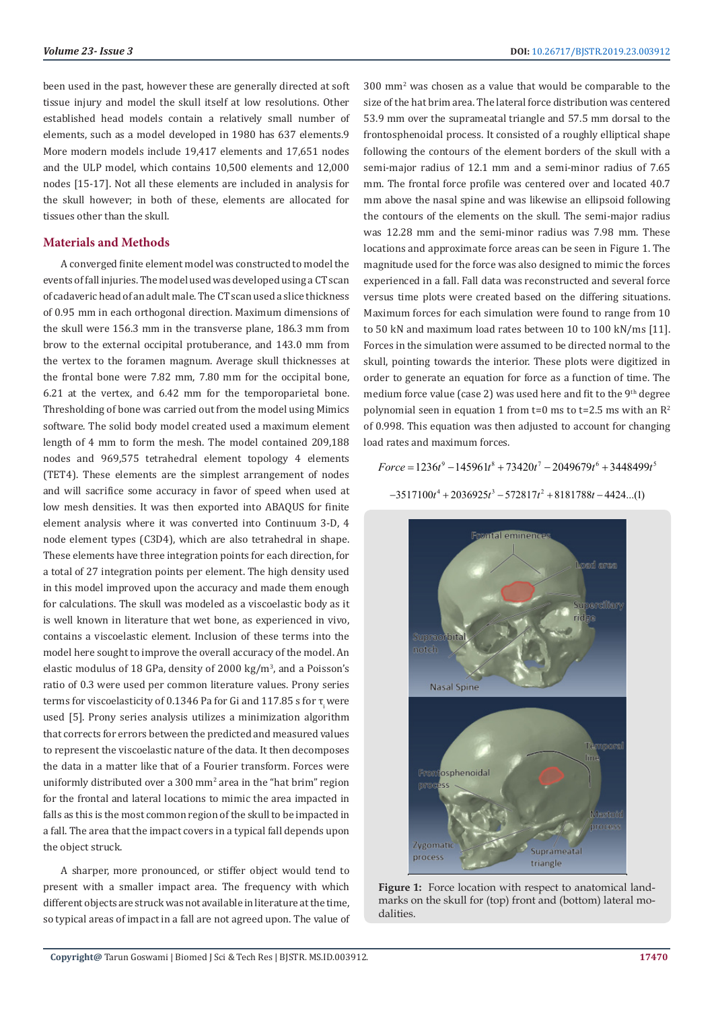been used in the past, however these are generally directed at soft tissue injury and model the skull itself at low resolutions. Other established head models contain a relatively small number of elements, such as a model developed in 1980 has 637 elements.9 More modern models include 19,417 elements and 17,651 nodes and the ULP model, which contains 10,500 elements and 12,000 nodes [15-17]. Not all these elements are included in analysis for the skull however; in both of these, elements are allocated for tissues other than the skull.

#### **Materials and Methods**

A converged finite element model was constructed to model the events of fall injuries. The model used was developed using a CT scan of cadaveric head of an adult male. The CT scan used a slice thickness of 0.95 mm in each orthogonal direction. Maximum dimensions of the skull were 156.3 mm in the transverse plane, 186.3 mm from brow to the external occipital protuberance, and 143.0 mm from the vertex to the foramen magnum. Average skull thicknesses at the frontal bone were 7.82 mm, 7.80 mm for the occipital bone, 6.21 at the vertex, and 6.42 mm for the temporoparietal bone. Thresholding of bone was carried out from the model using Mimics software. The solid body model created used a maximum element length of 4 mm to form the mesh. The model contained 209,188 nodes and 969,575 tetrahedral element topology 4 elements (TET4). These elements are the simplest arrangement of nodes and will sacrifice some accuracy in favor of speed when used at low mesh densities. It was then exported into ABAQUS for finite element analysis where it was converted into Continuum 3-D, 4 node element types (C3D4), which are also tetrahedral in shape. These elements have three integration points for each direction, for a total of 27 integration points per element. The high density used in this model improved upon the accuracy and made them enough for calculations. The skull was modeled as a viscoelastic body as it is well known in literature that wet bone, as experienced in vivo, contains a viscoelastic element. Inclusion of these terms into the model here sought to improve the overall accuracy of the model. An elastic modulus of 18 GPa, density of 2000 kg/m<sup>3</sup> , and a Poisson's ratio of 0.3 were used per common literature values. Prony series terms for viscoelasticity of 0.1346 Pa for Gi and 117.85 s for τ, were used [5]. Prony series analysis utilizes a minimization algorithm that corrects for errors between the predicted and measured values to represent the viscoelastic nature of the data. It then decomposes the data in a matter like that of a Fourier transform. Forces were uniformly distributed over a 300 mm2 area in the "hat brim" region for the frontal and lateral locations to mimic the area impacted in falls as this is the most common region of the skull to be impacted in a fall. The area that the impact covers in a typical fall depends upon the object struck.

A sharper, more pronounced, or stiffer object would tend to present with a smaller impact area. The frequency with which different objects are struck was not available in literature at the time, so typical areas of impact in a fall are not agreed upon. The value of 300 mm<sup>2</sup> was chosen as a value that would be comparable to the size of the hat brim area. The lateral force distribution was centered 53.9 mm over the suprameatal triangle and 57.5 mm dorsal to the frontosphenoidal process. It consisted of a roughly elliptical shape following the contours of the element borders of the skull with a semi-major radius of 12.1 mm and a semi-minor radius of 7.65 mm. The frontal force profile was centered over and located 40.7 mm above the nasal spine and was likewise an ellipsoid following the contours of the elements on the skull. The semi-major radius was 12.28 mm and the semi-minor radius was 7.98 mm. These locations and approximate force areas can be seen in Figure 1. The magnitude used for the force was also designed to mimic the forces experienced in a fall. Fall data was reconstructed and several force versus time plots were created based on the differing situations. Maximum forces for each simulation were found to range from 10 to 50 kN and maximum load rates between 10 to 100 kN/ms [11]. Forces in the simulation were assumed to be directed normal to the skull, pointing towards the interior. These plots were digitized in order to generate an equation for force as a function of time. The medium force value (case 2) was used here and fit to the  $9<sup>th</sup>$  degree polynomial seen in equation 1 from  $t=0$  ms to  $t=2.5$  ms with an  $R^2$ of 0.998. This equation was then adjusted to account for changing load rates and maximum forces.

 $Force = 1236t^9 - 145961t^8 + 73420t^7 - 2049679t^6 + 3448499t^5$ 

 $-3517100t^4 + 2036925t^3 - 572817t^2 + 8181788t - 4424$ ...(1)



Figure 1: Force location with respect to anatomical landmarks on the skull for (top) front and (bottom) lateral modalities.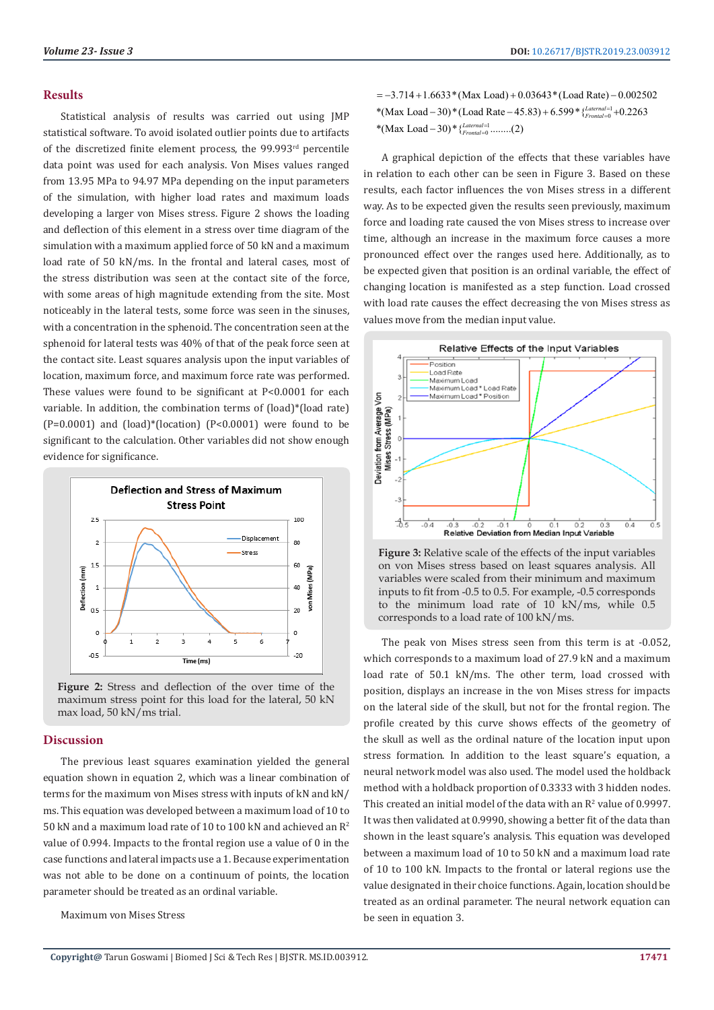#### **Results**

Statistical analysis of results was carried out using JMP statistical software. To avoid isolated outlier points due to artifacts of the discretized finite element process, the 99.993<sup>rd</sup> percentile data point was used for each analysis. Von Mises values ranged from 13.95 MPa to 94.97 MPa depending on the input parameters of the simulation, with higher load rates and maximum loads developing a larger von Mises stress. Figure 2 shows the loading and deflection of this element in a stress over time diagram of the simulation with a maximum applied force of 50 kN and a maximum load rate of 50 kN/ms. In the frontal and lateral cases, most of the stress distribution was seen at the contact site of the force, with some areas of high magnitude extending from the site. Most noticeably in the lateral tests, some force was seen in the sinuses, with a concentration in the sphenoid. The concentration seen at the sphenoid for lateral tests was 40% of that of the peak force seen at the contact site. Least squares analysis upon the input variables of location, maximum force, and maximum force rate was performed. These values were found to be significant at P<0.0001 for each variable. In addition, the combination terms of (load)\*(load rate)  $(P=0.0001)$  and  $(load)*(location)$   $(P<0.0001)$  were found to be significant to the calculation. Other variables did not show enough evidence for significance.



**Figure 2:** Stress and deflection of the over time of the maximum stress point for this load for the lateral, 50 kN max load, 50 kN/ms trial.

### **Discussion**

The previous least squares examination yielded the general equation shown in equation 2, which was a linear combination of terms for the maximum von Mises stress with inputs of kN and kN/ ms. This equation was developed between a maximum load of 10 to 50 kN and a maximum load rate of 10 to 100 kN and achieved an R<sup>2</sup> value of 0.994. Impacts to the frontal region use a value of 0 in the case functions and lateral impacts use a 1. Because experimentation was not able to be done on a continuum of points, the location parameter should be treated as an ordinal variable.

Maximum von Mises Stress

\*(Max Load - 30) \* (Load Rate - 45.83) + 6.599 \* {*Laternal*=1 + 0.2263 \*(Max Load – 30) \*  $\frac{1}{2}$   $\frac{1}{2}$   $\frac{1}{2}$   $\frac{1}{2}$   $\cdots$   $(2)$  $= -3.714 + 1.6633*(\text{Max Load}) + 0.03643*(\text{Load Rate}) - 0.002502$ 

A graphical depiction of the effects that these variables have in relation to each other can be seen in Figure 3. Based on these results, each factor influences the von Mises stress in a different way. As to be expected given the results seen previously, maximum force and loading rate caused the von Mises stress to increase over time, although an increase in the maximum force causes a more pronounced effect over the ranges used here. Additionally, as to be expected given that position is an ordinal variable, the effect of changing location is manifested as a step function. Load crossed with load rate causes the effect decreasing the von Mises stress as values move from the median input value.



**Figure 3:** Relative scale of the effects of the input variables on von Mises stress based on least squares analysis. All variables were scaled from their minimum and maximum inputs to fit from -0.5 to 0.5. For example, -0.5 corresponds to the minimum load rate of 10 kN/ms, while 0.5 corresponds to a load rate of 100 kN/ms.

The peak von Mises stress seen from this term is at -0.052, which corresponds to a maximum load of 27.9 kN and a maximum load rate of 50.1 kN/ms. The other term, load crossed with position, displays an increase in the von Mises stress for impacts on the lateral side of the skull, but not for the frontal region. The profile created by this curve shows effects of the geometry of the skull as well as the ordinal nature of the location input upon stress formation. In addition to the least square's equation, a neural network model was also used. The model used the holdback method with a holdback proportion of 0.3333 with 3 hidden nodes. This created an initial model of the data with an  $\mathbb{R}^2$  value of 0.9997. It was then validated at 0.9990, showing a better fit of the data than shown in the least square's analysis. This equation was developed between a maximum load of 10 to 50 kN and a maximum load rate of 10 to 100 kN. Impacts to the frontal or lateral regions use the value designated in their choice functions. Again, location should be treated as an ordinal parameter. The neural network equation can be seen in equation 3.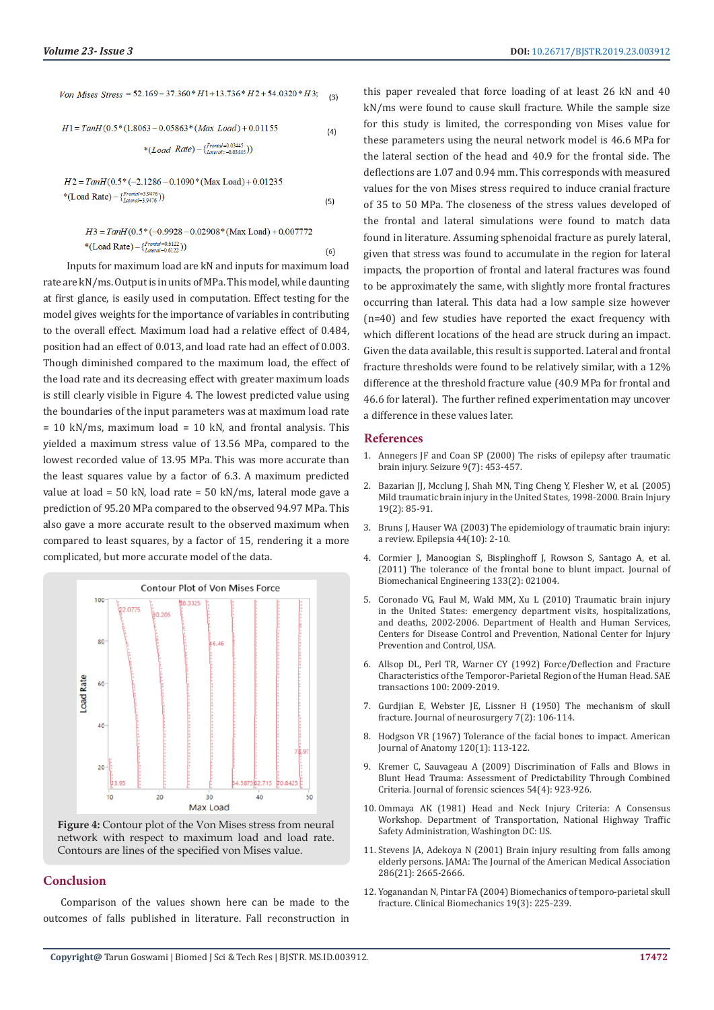| Von Mises Stress = $52.169 - 37.360 * H1 + 13.736 * H2 + 54.0320 * H3$ ; | (3) |
|--------------------------------------------------------------------------|-----|
| $H1 = TanH(0.5*(1.8063 - 0.05863*(Max Load) + 0.01155$                   | (4) |
| *( <i>Load Rate</i> ) – { $^{Frontal = 0.03445}_{Lateral = -0.03445}$ )) |     |

#### $H3 = T \frac{amH}{0.5}$ \* (-0.9928 - 0.02908\* (Max Load) + 0.007772 \*(Load Rate) – { $^{Frontal = 0.6122}_{Lateral = 0.6122}$ ))

 Inputs for maximum load are kN and inputs for maximum load rate are kN/ms. Output is in units of MPa. This model, while daunting at first glance, is easily used in computation. Effect testing for the model gives weights for the importance of variables in contributing to the overall effect. Maximum load had a relative effect of 0.484, position had an effect of 0.013, and load rate had an effect of 0.003. Though diminished compared to the maximum load, the effect of the load rate and its decreasing effect with greater maximum loads is still clearly visible in Figure 4. The lowest predicted value using the boundaries of the input parameters was at maximum load rate  $= 10$  kN/ms, maximum load  $= 10$  kN, and frontal analysis. This yielded a maximum stress value of 13.56 MPa, compared to the lowest recorded value of 13.95 MPa. This was more accurate than the least squares value by a factor of 6.3. A maximum predicted value at load = 50 kN, load rate = 50 kN/ms, lateral mode gave a prediction of 95.20 MPa compared to the observed 94.97 MPa. This also gave a more accurate result to the observed maximum when compared to least squares, by a factor of 15, rendering it a more complicated, but more accurate model of the data.



Figure 4: Contour plot of the Von Mises stress from neural network with respect to maximum load and load rate. Contours are lines of the specified von Mises value.

#### **Conclusion**

Comparison of the values shown here can be made to the outcomes of falls published in literature. Fall reconstruction in

this paper revealed that force loading of at least 26 kN and 40 kN/ms were found to cause skull fracture. While the sample size for this study is limited, the corresponding von Mises value for these parameters using the neural network model is 46.6 MPa for the lateral section of the head and 40.9 for the frontal side. The deflections are 1.07 and 0.94 mm. This corresponds with measured values for the von Mises stress required to induce cranial fracture of 35 to 50 MPa. The closeness of the stress values developed of the frontal and lateral simulations were found to match data found in literature. Assuming sphenoidal fracture as purely lateral, given that stress was found to accumulate in the region for lateral impacts, the proportion of frontal and lateral fractures was found to be approximately the same, with slightly more frontal fractures occurring than lateral. This data had a low sample size however (n=40) and few studies have reported the exact frequency with which different locations of the head are struck during an impact. Given the data available, this result is supported. Lateral and frontal fracture thresholds were found to be relatively similar, with a 12% difference at the threshold fracture value (40.9 MPa for frontal and 46.6 for lateral). The further refined experimentation may uncover a difference in these values later.

#### **References**

 $(5)$ 

 $(6)$ 

- 1. [Annegers JF and Coan SP \(2000\) The risks of epilepsy after traumatic](https://www.ncbi.nlm.nih.gov/pubmed/11034867) [brain injury. Seizure 9\(7\): 453-457.](https://www.ncbi.nlm.nih.gov/pubmed/11034867)
- 2. [Bazarian JJ, Mcclung J, Shah MN, Ting Cheng Y, Flesher W, et al. \(2005\)](https://www.ncbi.nlm.nih.gov/pubmed/15841752) [Mild traumatic brain injury in the United States, 1998-2000. Brain Injury](https://www.ncbi.nlm.nih.gov/pubmed/15841752) [19\(2\): 85-91.](https://www.ncbi.nlm.nih.gov/pubmed/15841752)
- 3. [Bruns J, Hauser WA \(2003\) The epidemiology of traumatic brain injury:](https://www.ncbi.nlm.nih.gov/pubmed/14511388) [a review. Epilepsia 44\(10\): 2-10.](https://www.ncbi.nlm.nih.gov/pubmed/14511388)
- 4. [Cormier J, Manoogian S, Bisplinghoff J, Rowson S, Santago A, et al.](https://www.ncbi.nlm.nih.gov/pubmed/21280876) [\(2011\) The tolerance of the frontal bone to blunt impact. Journal of](https://www.ncbi.nlm.nih.gov/pubmed/21280876) [Biomechanical Engineering 133\(2\): 021004.](https://www.ncbi.nlm.nih.gov/pubmed/21280876)
- 5. Coronado VG, Faul M, Wald MM, Xu L (2010) Traumatic brain injury in the United States: emergency department visits, hospitalizations, and deaths, 2002-2006. Department of Health and Human Services, Centers for Disease Control and Prevention, National Center for Injury Prevention and Control, USA.
- 6. [Allsop DL, Perl TR, Warner CY \(1992\) Force/Deflection and Fracture](https://www.sae.org/publications/technical-papers/content/912907/) [Characteristics of the Temporor-Parietal Region of the Human Head. SAE](https://www.sae.org/publications/technical-papers/content/912907/) [transactions 100: 2009-2019.](https://www.sae.org/publications/technical-papers/content/912907/)
- 7. [Gurdjian E, Webster JE, Lissner H \(1950\) The mechanism of skull](https://www.ncbi.nlm.nih.gov/pubmed/15406455) [fracture. Journal of neurosurgery 7\(2\): 106-114.](https://www.ncbi.nlm.nih.gov/pubmed/15406455)
- 8. [Hodgson VR \(1967\) Tolerance of the facial bones to impact. American](https://onlinelibrary.wiley.com/doi/abs/10.1002/aja.1001200109) [Journal of Anatomy 120\(1\): 113-122.](https://onlinelibrary.wiley.com/doi/abs/10.1002/aja.1001200109)
- 9. [Kremer C, Sauvageau A \(2009\) Discrimination of Falls and Blows in](https://www.ncbi.nlm.nih.gov/pubmed/19486249) [Blunt Head Trauma: Assessment of Predictability Through Combined](https://www.ncbi.nlm.nih.gov/pubmed/19486249) [Criteria. Journal of forensic sciences 54\(4\): 923-926.](https://www.ncbi.nlm.nih.gov/pubmed/19486249)
- 10. Ommaya AK (1981) Head and Neck Injury Criteria: A Consensus Workshop. Department of Transportation, National Highway Traffic Safety Administration, Washington DC: US.
- 11. [Stevens JA, Adekoya N \(2001\) Brain injury resulting from falls among](https://jamanetwork.com/journals/jama/article-abstract/1031604) [elderly persons. JAMA: The Journal of the American Medical Association](https://jamanetwork.com/journals/jama/article-abstract/1031604) [286\(21\): 2665-2666.](https://jamanetwork.com/journals/jama/article-abstract/1031604)
- 12. [Yoganandan N, Pintar FA \(2004\) Biomechanics of temporo-parietal skull](https://www.ncbi.nlm.nih.gov/pubmed/15003337) [fracture. Clinical Biomechanics 19\(3\): 225-239.](https://www.ncbi.nlm.nih.gov/pubmed/15003337)